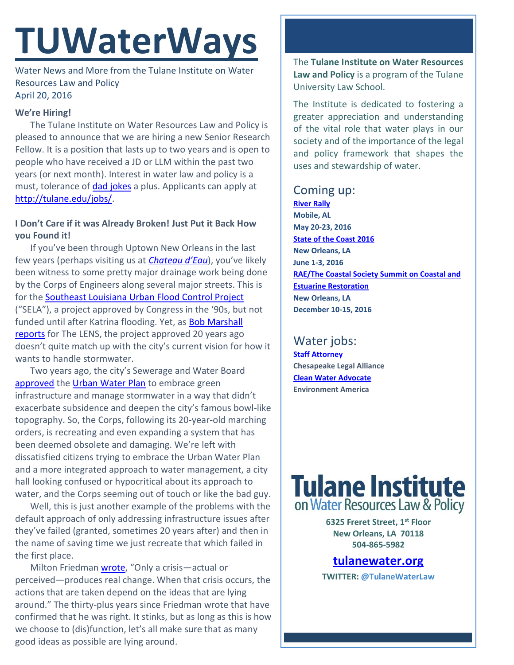## **TUWaterWays**

Water News and More from the Tulane Institute on Water Resources Law and Policy April 20, 2016

### **We're Hiring!**

The Tulane Institute on Water Resources Law and Policy is pleased to announce that we are hiring a new Senior Research Fellow. It is a position that lasts up to two years and is open to people who have received a JD or LLM within the past two years (or next month). Interest in water law and policy is a must, tolerance of *dad jokes* a plus. Applicants can apply at [http://tulane.edu/jobs/.](http://tulane.edu/jobs/)

## **I Don't Care if it was Already Broken! Just Put it Back How you Found it!**

If you've been through Uptown New Orleans in the last few years (perhaps visiting us at *[Chateau d'](http://www.tulanewater.org/#!contact/czpl)Eau*), you've likely been witness to some pretty major drainage work being done by the Corps of Engineers along several major streets. This is for the [Southeast Louisiana Urban Flood Control Project](http://www2.mvn.usace.army.mil/pd/projectslist/home.asp?projectID=165) ("SELA"), a project approved by Congress in the '90s, but not funded until after Katrina flooding. Yet, as Bob Marshall [reports](http://thelensnola.org/2016/04/18/nothing-neutral-about-the-fight-over-napoleon-avenue-median/) for The LENS, the project approved 20 years ago doesn't quite match up with the city's current vision for how it wants to handle stormwater.

Two years ago, the city's Sewerage and Water Board [approved](https://www.documentcloud.org/documents/2511737-greeninfrastructusewerage-and-water-board-of-new.html) the [Urban Water Plan](http://livingwithwater.com/blog/urban_water_plan/about/) to embrace green infrastructure and manage stormwater in a way that didn't exacerbate subsidence and deepen the city's famous bowl-like topography. So, the Corps, following its 20-year-old marching orders, is recreating and even expanding a system that has been deemed obsolete and damaging. We're left with dissatisfied citizens trying to embrace the Urban Water Plan and a more integrated approach to water management, a city hall looking confused or hypocritical about its approach to water, and the Corps seeming out of touch or like the bad guy.

Well, this is just another example of the problems with the default approach of only addressing infrastructure issues after they've failed (granted, sometimes 20 years after) and then in the name of saving time we just recreate that which failed in the first place.

Milton Friedman [wrote](https://books.google.com/books?id=zHSv4OyuY1EC&pg=PR14&lpg=PR14&dq=milton+friedman+capitalism+and+freedom+Only+a+crisis-actual+or+perceived-produces+real+change&source=bl&ots=nJTlBk5qc2&sig=GLxcGNUmnpMpZgYnJivHgURAEds&hl=en&sa=X&ved=0ahUKEwix3oyIrZ3MAhVDkYMKHSuMC4IQ6AEIPzAF#v=onepage&q=milton%20friedman%20capitalism%20and%20freedom%20Only%20a%20crisis-actual%20or%20perceived-produces%20real%20change&f=false), "Only a crisis-actual or perceived—produces real change. When that crisis occurs, the actions that are taken depend on the ideas that are lying around." The thirty-plus years since Friedman wrote that have confirmed that he was right. It stinks, but as long as this is how we choose to (dis)function, let's all make sure that as many good ideas as possible are lying around.

The **Tulane Institute on Water Resources Law and Policy** is a program of the Tulane University Law School.

The Institute is dedicated to fostering a greater appreciation and understanding of the vital role that water plays in our society and of the importance of the legal and policy framework that shapes the uses and stewardship of water.

## Coming up:

**[River Rally](https://www.rivernetwork.org/events-learning/river-rally/about/) Mobile, AL May 20-23, 2016 [State of the Coast 2016](http://stateofthecoast.org/) New Orleans, LA June 1-3, 2016 [RAE/The Coastal Society Summit on Coastal and](https://www.estuaries.org/images/NOLA_2016/2016-Summit-CFP_FINAL-011516.pdf)  [Estuarine Restoration](https://www.estuaries.org/images/NOLA_2016/2016-Summit-CFP_FINAL-011516.pdf) New Orleans, LA December 10-15, 2016**

## Water jobs:

**[Staff Attorney](http://www.chesapeakelegal.org/documents/Staff_Attorney_2___CLA.pdf) Chesapeake Legal Alliance [Clean Water Advocate](http://jobs.environmentamerica.org/clean-water-advocate.html) Environment America**

# **Tulane Institute**<br>on Water Resources Law & Policy

**6325 Freret Street, 1st Floor New Orleans, LA 70118 504-865-5982** 

### **[tulanewater.org](file:///C:/Users/waterlaw/Downloads/tulanewater.org)**

**TWITTER: [@TulaneWaterLaw](http://www.twitter.com/TulaneWaterLaw)**